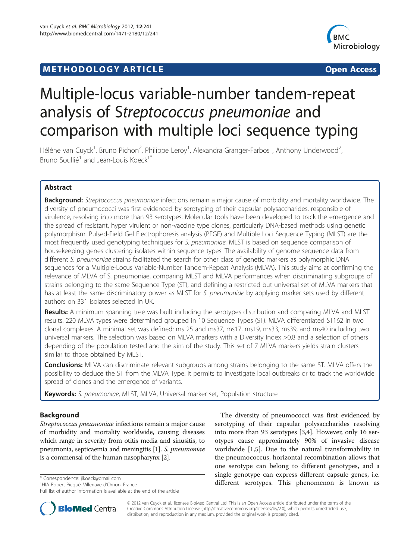## **METHODOLOGY ARTICLE CONSUMING A RESERVE AND LOGISTIC AND LOGISTIC ACCESS**



# Multiple-locus variable-number tandem-repeat analysis of Streptococcus pneumoniae and comparison with multiple loci sequence typing

Hélène van Cuyck<sup>1</sup>, Bruno Pichon<sup>2</sup>, Philippe Leroy<sup>1</sup>, Alexandra Granger-Farbos<sup>1</sup>, Anthony Underwood<sup>2</sup> , Bruno Soullié<sup>1</sup> and Jean-Louis Koeck<sup>1\*</sup>

## Abstract

Background: Streptococcus pneumoniae infections remain a major cause of morbidity and mortality worldwide. The diversity of pneumococci was first evidenced by serotyping of their capsular polysaccharides, responsible of virulence, resolving into more than 93 serotypes. Molecular tools have been developed to track the emergence and the spread of resistant, hyper virulent or non-vaccine type clones, particularly DNA-based methods using genetic polymorphism. Pulsed-Field Gel Electrophoresis analysis (PFGE) and Multiple Loci Sequence Typing (MLST) are the most frequently used genotyping techniques for S. pneumoniae. MLST is based on sequence comparison of housekeeping genes clustering isolates within sequence types. The availability of genome sequence data from different S. pneumoniae strains facilitated the search for other class of genetic markers as polymorphic DNA sequences for a Multiple-Locus Variable-Number Tandem-Repeat Analysis (MLVA). This study aims at confirming the relevance of MLVA of S. pneumoniae, comparing MLST and MLVA performances when discriminating subgroups of strains belonging to the same Sequence Type (ST), and defining a restricted but universal set of MLVA markers that has at least the same discriminatory power as MLST for S. pneumoniae by applying marker sets used by different authors on 331 isolates selected in UK.

Results: A minimum spanning tree was built including the serotypes distribution and comparing MLVA and MLST results. 220 MLVA types were determined grouped in 10 Sequence Types (ST). MLVA differentiated ST162 in two clonal complexes. A minimal set was defined: ms 25 and ms37, ms17, ms19, ms33, ms39, and ms40 including two universal markers. The selection was based on MLVA markers with a Diversity Index >0.8 and a selection of others depending of the population tested and the aim of the study. This set of 7 MLVA markers yields strain clusters similar to those obtained by MLST.

**Conclusions:** MLVA can discriminate relevant subgroups among strains belonging to the same ST. MLVA offers the possibility to deduce the ST from the MLVA Type. It permits to investigate local outbreaks or to track the worldwide spread of clones and the emergence of variants.

Keywords: S. pneumoniae, MLST, MLVA, Universal marker set, Population structure

## Background

Streptococcus pneumoniae infections remain a major cause of morbidity and mortality worldwide, causing diseases which range in severity from otitis media and sinusitis, to pneumonia, septicaemia and meningitis [[1\]](#page-7-0). S. pneumoniae is a commensal of the human nasopharynx [\[2\]](#page-7-0).

<sup>1</sup>HIA Robert Picqué, Villenave d'Ornon, France

Full list of author information is available at the end of the article





© 2012 van Cuyck et al.; licensee BioMed Central Ltd. This is an Open Access article distributed under the terms of the Creative Commons Attribution License (<http://creativecommons.org/licenses/by/2.0>), which permits unrestricted use, distribution, and reproduction in any medium, provided the original work is properly cited.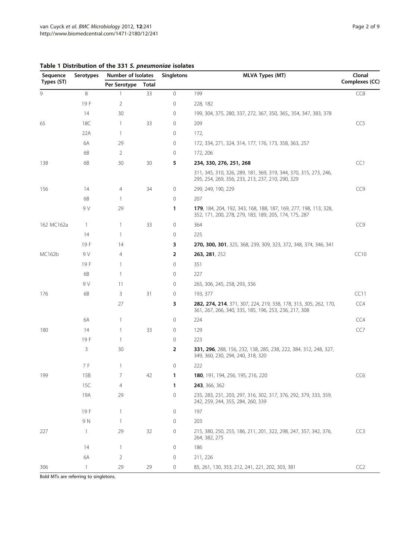| Sequence<br>Types (ST) | Serotypes      | Number of Isolates |       | <b>Singletons</b> | <b>MLVA Types (MT)</b>                                                                                                    | Clonal          |
|------------------------|----------------|--------------------|-------|-------------------|---------------------------------------------------------------------------------------------------------------------------|-----------------|
|                        |                | Per Serotype       | Total |                   |                                                                                                                           | Complexes (CC)  |
| 9                      | 8              | 1                  | 33    | $\mathbf 0$       | 199                                                                                                                       | CC8             |
|                        | 19 F           | 2                  |       | 0                 | 228, 182                                                                                                                  |                 |
|                        | 14             | 30                 |       | 0                 | 199, 304, 375, 280, 337, 272, 367, 350, 365,, 354, 347, 383, 378                                                          |                 |
| 65                     | 18C            | $\mathbf{1}$       | 33    | 0                 | 209                                                                                                                       | CC5             |
|                        | 22A            | $\mathbf{1}$       |       | 0                 | 172,                                                                                                                      |                 |
|                        | 6A             | 29                 |       | 0                 | 172, 334, 271, 324, 314, 177, 176, 173, 358, 363, 257                                                                     |                 |
|                        | 6B             | 2                  |       | 0                 | 172, 206                                                                                                                  |                 |
| 138                    | 6B             | 30                 | 30    | 5                 | 234, 330, 276, 251, 268                                                                                                   | CC1             |
|                        |                |                    |       |                   | 311, 345, 310, 326, 289, 181, 369, 319, 344, 370, 315, 273, 246,<br>295, 254, 269, 356, 233, 213, 237, 210, 290, 329      |                 |
| 156                    | 14             | 4                  | 34    | 0                 | 299, 249, 190, 229                                                                                                        | CC9             |
|                        | 6B             | 1                  |       | 0                 | 207                                                                                                                       |                 |
|                        | 9 V            | 29                 |       | 1                 | 179, 184, 204, 192, 343, 168, 188, 187, 169, 277, 198, 113, 328,<br>352, 171, 200, 278, 279, 183, 189, 205, 174, 175, 287 |                 |
| 162 MC162a             | $\overline{1}$ | 1                  | 33    | 0                 | 364                                                                                                                       | CC9             |
|                        | 14             | 1                  |       | 0                 | 225                                                                                                                       |                 |
|                        | 19 F           | 14                 |       | 3                 | 270, 300, 301, 325, 368, 239, 309, 323, 372, 348, 374, 346, 341                                                           |                 |
| MC162b                 | 9 V            | $\overline{4}$     |       | 2                 | 263, 281, 252                                                                                                             | CC10            |
|                        | 19 F           | 1                  |       | 0                 | 351                                                                                                                       |                 |
|                        | 6B             | 1                  |       | 0                 | 227                                                                                                                       |                 |
|                        | 9 V            | 11                 |       | 0                 | 265, 306, 245, 258, 293, 336                                                                                              |                 |
| 176                    | 6B             | 3                  | 31    | 0                 | 193, 377                                                                                                                  | CC11            |
|                        |                | 27                 |       | 3                 | 282, 274, 214, 371, 307, 224, 219, 338, 178, 313, 305, 262, 170,<br>361, 267, 266, 340, 335, 185, 196, 253, 236, 217, 308 | CC4             |
|                        | 6A             | 1                  |       | 0                 | 224                                                                                                                       | CC4             |
| 180                    | 14             | 1                  | 33    | 0                 | 129                                                                                                                       | CC7             |
|                        | 19 F           | 1                  |       | 0                 | 223                                                                                                                       |                 |
|                        | 3              | 30                 |       | 2                 | 331, 296, 288, 156, 232, 138, 285, 238, 222, 384, 312, 248, 327,<br>349, 360, 230, 294, 240, 318, 320                     |                 |
|                        | 7 F            | 1                  |       | 0                 | 222                                                                                                                       |                 |
| 199                    | 15B            | 7                  | 42    | 1                 | 180, 191, 194, 256, 195, 216, 220                                                                                         | CC <sub>6</sub> |
|                        | 15C            | $\overline{4}$     |       | 1                 | 243, 366, 362                                                                                                             |                 |
|                        | 19A            | 29                 |       | 0                 | 235, 283, 231, 203, 297, 316, 302, 317, 376, 292, 379, 333, 359,<br>242, 259, 244, 355, 284, 260, 339                     |                 |
|                        | 19 F           | 1                  |       | 0                 | 197                                                                                                                       |                 |
|                        | 9 N            | 1                  |       | 0                 | 203                                                                                                                       |                 |
| 227                    | $\mathbf{1}$   | 29                 | 32    | 0                 | 215, 380, 250, 255, 186, 211, 201, 322, 298, 247, 357, 342, 376,<br>264, 382, 275                                         | CC <sub>3</sub> |
|                        | 14             | 1                  |       | 0                 | 186                                                                                                                       |                 |
|                        | 6A             | 2                  |       | 0                 | 211, 226                                                                                                                  |                 |
| 306                    | 1              | 29                 | 29    | 0                 | 85, 261, 130, 353, 212, 241, 221, 202, 303, 381                                                                           | CC2             |

## <span id="page-1-0"></span>Table 1 Distribution of the 331 S. pneumoniae isolates

Bold MTs are referring to singletons.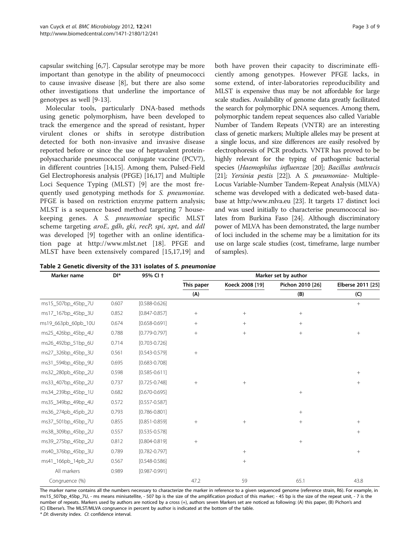<span id="page-2-0"></span>capsular switching [[6,7\]](#page-7-0). Capsular serotype may be more important than genotype in the ability of pneumococci to cause invasive disease [\[8](#page-7-0)], but there are also some other investigations that underline the importance of genotypes as well [[9-13](#page-7-0)].

Molecular tools, particularly DNA-based methods using genetic polymorphism, have been developed to track the emergence and the spread of resistant, hyper virulent clones or shifts in serotype distribution detected for both non-invasive and invasive disease reported before or since the use of heptavalent proteinpolysaccharide pneumococcal conjugate vaccine (PCV7), in different countries [\[14,15\]](#page-7-0). Among them, Pulsed-Field Gel Electrophoresis analysis (PFGE) [[16,17](#page-7-0)] and Multiple Loci Sequence Typing (MLST) [\[9](#page-7-0)] are the most frequently used genotyping methods for S. pneumoniae. PFGE is based on restriction enzyme pattern analysis; MLST is a sequence based method targeting 7 housekeeping genes. A S. pneumoniae specific MLST scheme targeting aroE, gdh, gki, recP, spi, xpt, and ddl was developed [[9](#page-7-0)] together with an online identification page at<http://www.mlst.net> [[18\]](#page-7-0). PFGE and MLST have been extensively compared [\[15](#page-7-0),[17,19\]](#page-7-0) and

both have proven their capacity to discriminate efficiently among genotypes. However PFGE lacks, in some extend, of inter-laboratories reproducibility and MLST is expensive thus may be not affordable for large scale studies. Availability of genome data greatly facilitated the search for polymorphic DNA sequences. Among them, polymorphic tandem repeat sequences also called Variable Number of Tandem Repeats (VNTR) are an interesting class of genetic markers; Multiple alleles may be present at a single locus, and size differences are easily resolved by electrophoresis of PCR products. VNTR has proved to be highly relevant for the typing of pathogenic bacterial species (Haemophilus influenzae [\[20\]](#page-7-0); Bacillus anthracis [[21](#page-7-0)]; Yersinia pestis [[22](#page-7-0)]). A S. pneumoniae- Multiple-Locus Variable-Number Tandem-Repeat Analysis (MLVA) scheme was developed with a dedicated web-based database at http:[/www.mlva.eu](http://www.mlva.eu) [[23\]](#page-7-0). It targets 17 distinct loci and was used initially to characterise pneumococcal isolates from Burkina Faso [\[24\]](#page-7-0). Although discriminatory power of MLVA has been demonstrated, the large number of loci included in the scheme may be a limitation for its use on large scale studies (cost, timeframe, large number of samples).

| Table 2 Genetic diversity of the 331 isolates of S. pneumoniae |  |  |  |
|----------------------------------------------------------------|--|--|--|
|----------------------------------------------------------------|--|--|--|

| Marker name         | DI*   | 95% CI +          | Marker set by author |                 |                  |                   |  |
|---------------------|-------|-------------------|----------------------|-----------------|------------------|-------------------|--|
|                     |       |                   | This paper           | Koeck 2008 [19] | Pichon 2010 [26] | Elberse 2011 [25] |  |
|                     |       |                   | (A)                  |                 | (B)              | (C)               |  |
| ms15_507bp_45bp_7U  | 0.607 | $[0.588 - 0.626]$ |                      |                 |                  | $^+$              |  |
| ms17_167bp_45bp_3U  | 0.852 | $[0.847 - 0.857]$ | $\boldsymbol{+}$     | $^{+}$          | $\! + \!\!\!\!$  |                   |  |
| ms19_663pb_60pb_10U | 0.674 | $[0.658 - 0.691]$ | $^{+}$               | $+$             | $+$              |                   |  |
| ms25_426bp_45bp_4U  | 0.788 | $[0.779 - 0.797]$ | $^{+}$               | $^{+}$          | $+$              | $^{+}$            |  |
| ms26_492bp_51bp_6U  | 0.714 | $[0.703 - 0.726]$ |                      |                 |                  |                   |  |
| ms27_326bp_45bp_3U  | 0.561 | $[0.543 - 0.579]$ | $^{+}$               |                 |                  |                   |  |
| ms31_594bp_45bp_9U  | 0.695 | $[0.683 - 0.708]$ |                      |                 |                  |                   |  |
| ms32_280pb_45bp_2U  | 0.598 | $[0.585 - 0.611]$ |                      |                 |                  | $\! + \!\!\!\!$   |  |
| ms33_407bp_45bp_2U  | 0.737 | $[0.725 - 0.748]$ | $^{+}$               | $+$             |                  | $\! + \!\!\!\!$   |  |
| ms34_239bp_45bp_1U  | 0.682 | $[0.670 - 0.695]$ |                      |                 | $^{+}$           |                   |  |
| ms35_349bp_49bp_4U  | 0.572 | $[0.557 - 0.587]$ |                      |                 |                  |                   |  |
| ms36_274pb_45pb_2U  | 0.793 | $[0.786 - 0.801]$ |                      |                 | $\! + \!\!\!\!$  |                   |  |
| ms37_501bp_45bp_7U  | 0.855 | $[0.851 - 0.859]$ | $+$                  | $^{+}$          | $^{+}$           | $^{+}$            |  |
| ms38_309bp_45bp_2U  | 0.557 | $[0.535 - 0.578]$ |                      |                 |                  | $^{+}$            |  |
| ms39_275bp_45bp_2U  | 0.812 | $[0.804 - 0.819]$ | $^{+}$               |                 | $+$              |                   |  |
| ms40_376bp_45bp_3U  | 0.789 | $[0.782 - 0.797]$ |                      | $^{+}$          |                  | $^{+}$            |  |
| ms41_166pb_14pb_2U  | 0.567 | $[0.548 - 0.586]$ |                      | $^{+}$          |                  |                   |  |
| All markers         | 0.989 | $[0.987 - 0.991]$ |                      |                 |                  |                   |  |
| Congruence (%)      |       |                   | 47.2                 | 59              | 65.1             | 43.8              |  |

The marker name contains all the numbers necessary to characterize the marker in reference to a given sequenced genome (reference strain, R6). For example, in ms15\_507bp\_45bp\_7U, - ms means minisatellite, - 507 bp is the size of the amplification product of this marker; - 45 bp is the size of the repeat unit, - 7 is the number of repeats. Markers used by authors are noticed by a cross (+), authors seven Markers set are noticed as following: (A) this paper, (B) Pichon's and (C) Elberse's. The MLST/MLVA congruence in percent by author is indicated at the bottom of the table.

\* DI: diversity index. CI: confidence interval.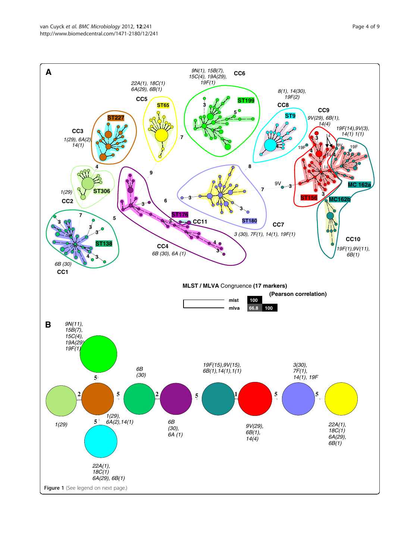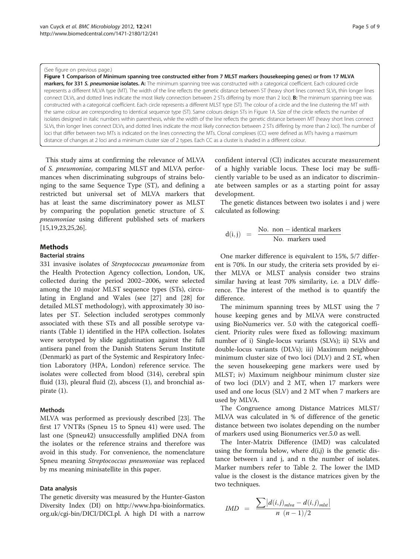<span id="page-4-0"></span>(See figure on previous page.)

Figure 1 Comparison of Minimum spanning tree constructed either from 7 MLST markers (housekeeping genes) or from 17 MLVA markers, for 331 S. pneumoniae isolates. A: The minimum spanning tree was constructed with a categorical coefficient. Each coloured circle represents a different MLVA type (MT). The width of the line reflects the genetic distance between ST (heavy short lines connect SLVs, thin longer lines connect DLVs, and dotted lines indicate the most likely connection between 2 STs differing by more than 2 loci). B: The minimum spanning tree was constructed with a categorical coefficient. Each circle represents a different MLST type (ST). The colour of a circle and the line clustering the MT with the same colour are corresponding to identical sequence type (ST). Same colours design STs in Figure 1A. Size of the circle reflects the number of isolates designed in italic numbers within parenthesis, while the width of the line reflects the genetic distance between MT (heavy short lines connect SLVs, thin longer lines connect DLVs, and dotted lines indicate the most likely connection between 2 STs differing by more than 2 loci). The number of loci that differ between two MTs is indicated on the lines connecting the MTs. Clonal complexes (CC) were defined as MTs having a maximum distance of changes at 2 loci and a minimum cluster size of 2 types. Each CC as a cluster is shaded in a different colour.

This study aims at confirming the relevance of MLVA of S. pneumoniae, comparing MLST and MLVA performances when discriminating subgroups of strains belonging to the same Sequence Type (ST), and defining a restricted but universal set of MLVA markers that has at least the same discriminatory power as MLST by comparing the population genetic structure of S. pneumoniae using different published sets of markers [[15,19,23,](#page-7-0)[25,26\]](#page-8-0).

## **Methods**

### Bacterial strains

331 invasive isolates of Streptococcus pneumoniae from the Health Protection Agency collection, London, UK, collected during the period 2002–2006, were selected among the 10 major MLST sequence types (STs), circulating in England and Wales (see [\[27](#page-8-0)] and [[28\]](#page-8-0) for detailed MLST methodology), with approximately 30 isolates per ST. Selection included serotypes commonly associated with these STs and all possible serotype variants (Table [1\)](#page-1-0) identified in the HPA collection. Isolates were serotyped by slide agglutination against the full antisera panel from the Danish Statens Serum Institute (Denmark) as part of the Systemic and Respiratory Infection Laboratory (HPA, London) reference service. The isolates were collected from blood (314), cerebral spin fluid (13), pleural fluid (2), abscess (1), and bronchial aspirate (1).

## Methods

MLVA was performed as previously described [[23](#page-7-0)]. The first 17 VNTRs (Spneu 15 to Spneu 41) were used. The last one (Spneu42) unsuccessfully amplified DNA from the isolates or the reference strains and therefore was avoid in this study. For convenience, the nomenclature Spneu meaning Streptococcus pneumoniae was replaced by ms meaning minisatellite in this paper.

## Data analysis

The genetic diversity was measured by the Hunter-Gaston Diversity Index (DI) on [http://www.hpa-bioinformatics.](http://www.hpa-bioinformatics.org.uk/cgi-bin/DICI/DICI.pl) [org.uk/cgi-bin/DICI/DICI.pl.](http://www.hpa-bioinformatics.org.uk/cgi-bin/DICI/DICI.pl) A high DI with a narrow confident interval (CI) indicates accurate measurement of a highly variable locus. These loci may be sufficiently variable to be used as an indicator to discriminate between samples or as a starting point for assay development.

The genetic distances between two isolates i and j were calculated as following:

$$
d(i,j) = \frac{No. \text{ non}-identical markers}{No. markers used}
$$

One marker difference is equivalent to 15%, 5/7 different is 70%. In our study, the criteria sets provided by either MLVA or MLST analysis consider two strains similar having at least 70% similarity, i.e. a DLV difference. The interest of the method is to quantify the difference.

The minimum spanning trees by MLST using the 7 house keeping genes and by MLVA were constructed using BioNumerics ver. 5.0 with the categorical coefficient. Priority rules were fixed as following: maximum number of i) Single-locus variants (SLVs); ii) SLVs and double-locus variants (DLVs); iii) Maximum neighbour minimum cluster size of two loci (DLV) and 2 ST, when the seven housekeeping gene markers were used by MLST; iv) Maximum neighbour minimum cluster size of two loci (DLV) and 2 MT, when 17 markers were used and one locus (SLV) and 2 MT when 7 markers are used by MLVA.

The Congruence among Distance Matrices MLST/ MLVA was calculated in % of difference of the genetic distance between two isolates depending on the number of markers used using Bionumerics ver.5.0 as well.

The Inter-Matrix Difference (IMD) was calculated using the formula below, where  $d(i,j)$  is the genetic distance between i and j, and n the number of isolates. Marker numbers refer to Table [2](#page-2-0). The lower the IMD value is the closest is the distance matrices given by the two techniques.

$$
IMD = \frac{\sum |d(i,j)_{mlva} - d(i,j)_{mlst}|}{n (n-1)/2}
$$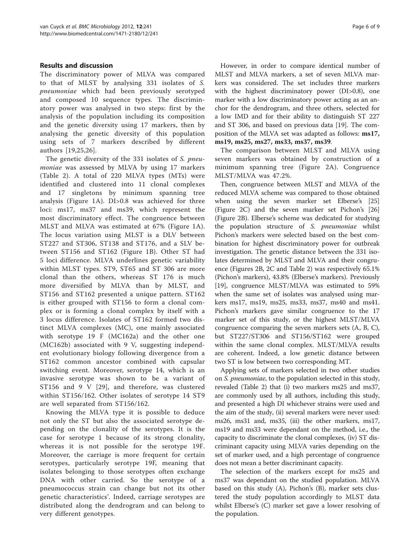## Results and discussion

The discriminatory power of MLVA was compared to that of MLST by analysing 331 isolates of S. pneumoniae which had been previously serotyped and composed 10 sequence types. The discriminatory power was analysed in two steps: first by the analysis of the population including its composition and the genetic diversity using 17 markers, then by analysing the genetic diversity of this population using sets of 7 markers described by different authors [\[19](#page-7-0),[25,26\]](#page-8-0).

The genetic diversity of the 331 isolates of S. pneumoniae was assessed by MLVA by using 17 markers (Table [2\)](#page-2-0). A total of 220 MLVA types (MTs) were identified and clustered into 11 clonal complexes and 17 singletons by minimum spanning tree analysis (Figure [1A](#page-4-0)). DI>0.8 was achieved for three loci: ms17, ms37 and ms39, which represent the most discriminatory effect. The congruence between MLST and MLVA was estimated at 67% (Figure [1A](#page-4-0)). The locus variation using MLST is a DLV between ST227 and ST306, ST138 and ST176, and a SLV between ST156 and ST162 (Figure [1B](#page-4-0)). Other ST had 5 loci difference. MLVA underlines genetic variability within MLST types. ST9, ST65 and ST 306 are more clonal than the others, whereas ST 176 is much more diversified by MLVA than by MLST, and ST156 and ST162 presented a unique pattern. ST162 is either grouped with ST156 to form a clonal complex or is forming a clonal complex by itself with a 3 locus difference. Isolates of ST162 formed two distinct MLVA complexes (MC), one mainly associated with serotype 19 F (MC162a) and the other one (MC162b) associated with 9 V, suggesting independent evolutionary biology following divergence from a ST162 common ancestor combined with capsular switching event. Moreover, serotype 14, which is an invasive serotype was shown to be a variant of ST156 and 9 V [\[29\]](#page-8-0), and therefore, was clustered within ST156/162. Other isolates of serotype 14 ST9 are well separated from ST156/162.

Knowing the MLVA type it is possible to deduce not only the ST but also the associated serotype depending on the clonality of the serotypes. It is the case for serotype 1 because of its strong clonality, whereas it is not possible for the serotype 19F. Moreover, the carriage is more frequent for certain serotypes, particularly serotype 19F, meaning that isolates belonging to those serotypes often exchange DNA with other carried. So the serotype of a pneumococcus strain can change but not its other genetic characteristics'. Indeed, carriage serotypes are distributed along the dendrogram and can belong to very different genotypes.

However, in order to compare identical number of MLST and MLVA markers, a set of seven MLVA markers was considered. The set includes three markers with the highest discriminatory power (DI>0.8), one marker with a low discriminatory power acting as an anchor for the dendrogram, and three others, selected for a low IMD and for their ability to distinguish ST 227 and ST 306, and based on previous data [\[19\]](#page-7-0). The composition of the MLVA set was adapted as follows: ms17, ms19, ms25, ms27, ms33, ms37, ms39.

The comparison between MLST and MLVA using seven markers was obtained by construction of a minimum spanning tree (Figure [2A](#page-6-0)). Congruence MLST/MLVA was 47.2%.

Then, congruence between MLST and MLVA of the reduced MLVA scheme was compared to those obtained when using the seven marker set Elberse's [[25](#page-8-0)] (Figure [2C](#page-6-0)) and the seven marker set Pichon's [[26](#page-8-0)] (Figure [2B](#page-6-0)). Elberse's scheme was dedicated for studying the population structure of S. pneumoniae whilst Pichon's markers were selected based on the best combination for highest discriminatory power for outbreak investigation. The genetic distance between the 331 isolates determined by MLST and MLVA and their congruence (Figures [2B](#page-6-0), [2C](#page-6-0) and Table [2](#page-2-0)) was respectively 65.1% (Pichon's markers), 43.8% (Elberse's markers). Previously [[19\]](#page-7-0), congruence MLST/MLVA was estimated to 59% when the same set of isolates was analysed using markers ms17, ms19, ms25, ms33, ms37, ms40 and ms41. Pichon's markers gave similar congruence to the 17 marker set of this study, or the highest MLST/MLVA congruence comparing the seven markers sets (A, B, C), but ST227/ST306 and ST156/ST162 were grouped within the same clonal complex. MLST/MLVA results are coherent. Indeed, a low genetic distance between two ST is low between two corresponding MT.

Applying sets of markers selected in two other studies on S. pneumoniae, to the population selected in this study, revealed (Table [2](#page-2-0)) that (i) two markers ms25 and ms37, are commonly used by all authors, including this study, and presented a high DI whichever strains were used and the aim of the study, (ii) several markers were never used: ms26, ms31 and, ms35, (iii) the other markers, ms17, ms19 and ms33 were dependant on the method, i.e., the capacity to discriminate the clonal complexes, (iv) ST discriminant capacity using MLVA varies depending on the set of marker used, and a high percentage of congruence does not mean a better discriminant capacity.

The selection of the markers except for ms25 and ms37 was dependant on the studied population. MLVA based on this study (A), Pichon's (B), marker sets clustered the study population accordingly to MLST data whilst Elberse's (C) marker set gave a lower resolving of the population.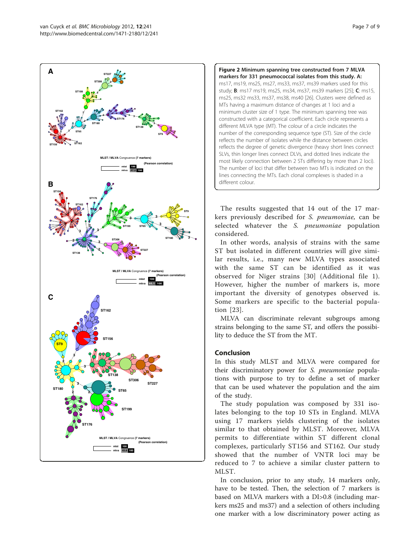<span id="page-6-0"></span>

Figure 2 Minimum spanning tree constructed from 7 MLVA markers for 331 pneumococcal isolates from this study. A: ms17, ms19, ms25, ms27, ms33, ms37, ms39 markers used for this study; B: ms17 ms19, ms25, ms34, ms37, ms39 markers [\[25\]](#page-8-0); C: ms15, ms25, ms32 ms33, ms37, ms38, ms40 [[26](#page-8-0)]. Clusters were defined as MTs having a maximum distance of changes at 1 loci and a minimum cluster size of 1 type. The minimum spanning tree was constructed with a categorical coefficient. Each circle represents a different MLVA type (MT). The colour of a circle indicates the number of the corresponding sequence type (ST). Size of the circle reflects the number of isolates while the distance between circles reflects the degree of genetic divergence (heavy short lines connect SLVs, thin longer lines connect DLVs, and dotted lines indicate the most likely connection between 2 STs differing by more than 2 loci). The number of loci that differ between two MTs is indicated on the lines connecting the MTs. Each clonal complexes is shaded in a different colour.

The results suggested that 14 out of the 17 markers previously described for S. pneumoniae, can be selected whatever the S. pneumoniae population considered.

In other words, analysis of strains with the same ST but isolated in different countries will give similar results, i.e., many new MLVA types associated with the same ST can be identified as it was observed for Niger strains [\[30\]](#page-8-0) (Additional file [1](#page-7-0)). However, higher the number of markers is, more important the diversity of genotypes observed is. Some markers are specific to the bacterial population [\[23\]](#page-7-0).

MLVA can discriminate relevant subgroups among strains belonging to the same ST, and offers the possibility to deduce the ST from the MT.

## Conclusion

In this study MLST and MLVA were compared for their discriminatory power for S. pneumoniae populations with purpose to try to define a set of marker that can be used whatever the population and the aim of the study.

The study population was composed by 331 isolates belonging to the top 10 STs in England. MLVA using 17 markers yields clustering of the isolates similar to that obtained by MLST. Moreover, MLVA permits to differentiate within ST different clonal complexes, particularly ST156 and ST162. Our study showed that the number of VNTR loci may be reduced to 7 to achieve a similar cluster pattern to MLST.

In conclusion, prior to any study, 14 markers only, have to be tested. Then, the selection of 7 markers is based on MLVA markers with a DI>0.8 (including markers ms25 and ms37) and a selection of others including one marker with a low discriminatory power acting as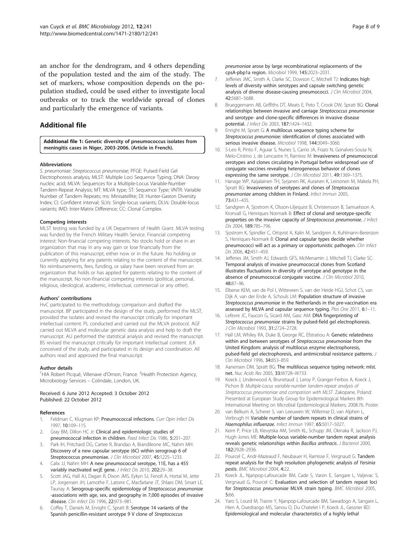<span id="page-7-0"></span>an anchor for the dendrogram, and 4 others depending of the population tested and the aim of the study. The set of markers, whose composition depends on the population studied, could be used either to investigate local outbreaks or to track the worldwide spread of clones and particularly the emergence of variants.

## Additional file

[Additional file 1:](http://www.biomedcentral.com/content/supplementary/1471-2180-12-241-S1.ppt) Genetic diversity of pneumococcus isolates from meningitis cases in Niger, 2003-2006. (Article in French).

#### Abbreviations

S. pneumoniae: Streptococcus pneumoniae; PFGE: Pulsed-Field Gel Electrophoresis analysis; MLST: Multiple Loci Sequence Typing; DNA: Deoxy nucleic acid; MLVA: Sequences for a Multiple-Locus Variable-Number Tandem-Repeat Analysis; MT: MLVA type; ST: Sequence Type; VNTR: Variable Number of Tandem Repeats; ms: Minisatellite; DI: Hunter-Gaston Diversity Index; CI: Confident interval; SLVs: Single-locus variants; DLVs: Double-locus variants; IMD: Inter-Matrix Difference; CC: Clonal Complex.

#### Competing interests

MLST testing was funded by a UK Department of Health Grant. MLVA testing was funded by the French Military Health Service. Financial competing interest: Non-financial competing interests. No stocks hold or share in an organization that may in any way gain or lose financially from the publication of this manuscript, either now or in the future. No holding or currently applying for any patents relating to the content of the manuscript. No reimbursements, fees, funding, or salary have been received from an organization that holds or has applied for patents relating to the content of the manuscript. No non-financial competing interests (political, personal, religious, ideological, academic, intellectual, commercial or any other).

#### Authors' contributions

HvC participated to the methodology comparison and drafted the manuscript. BP participated in the design of the study, performed the MLST, provided the isolates and revised the manuscript critically for important intellectual content. PL conducted and carried out the MLVA protocol. AGF carried out MLVA and molecular genetic data analysis and help to draft the manuscript. AU performed the statistical analysis and revised the manuscript. BS revised the manuscript critically for important intellectual content. JLK conceived of the study, and participated in its design and coordination. All authors read and approved the final manuscript.

#### Author details

<sup>1</sup>HIA Robert Picqué, Villenave d'Ornon, France. <sup>2</sup>Health Protection Agency, Microbiology Services – Colindale, London, UK.

#### Received: 6 June 2012 Accepted: 3 October 2012 Published: 22 October 2012

#### References

- 1. Feldman C, Klugman KP: Pneumococcal infections. Curr Opin Infect Dis 1997, 10:109–115.
- 2. Gray BM, Dillon HC Jr: Clinical and epidemiologic studies of pneumococcal infection in children. Paed Infect Dis 1986, 5:201–207.
- 3. Park IH, Pritchard DG, Cartee R, Brandao A, Brandileone MC, Nahm MH: Discovery of a new capsular serotype (6C) within serogroup 6 of Streptococcus pneumoniae. J Clin Microbiol 2007, 45:1225–1233.
- 4. Calix JJ, Nahm MH: A new pneumococcal serotype, 11E, has a 455 variably inactivated wcjE gene. J Infect Dis 2010, 202:29-38.
- 5. Scott JAG, Hall AJ, Dagan R, Dixon JMS, Eykyn SJ, Fenoll A, Hortal M, Jette LP, Jorgensen JH, Lamothe F, Latorre C, Macfarlane JT, Shlaes DM, Smart LE, Taunay A: Serogroup-specific epidemiology of Streptococcus pneumoniae -associations with age, sex, and geography in 7,000 episodes of invasive disease. Clin Infect Dis 1996, 22:973–981.
- 6. Coffey T, Daniels M, Enright C, Spratt B: Serotype 14 variants of the Spanish penicillin-resistant serotype 9 V clone of Streptococcus

pneumoniae arose by large recombinational replacements of the cpsA-pbp1a region. Microbiol 1999, 145:2023–2031.

- 7. Jefferies JMC, Smith A, Clarke SC, Dowson C, Mitchell TJ: Indicates high levels of diversity within serotypes and capsule switching genetic analysis of diverse disease-causing pneumococci. J Clin Microbiol 2004, 42:5681–5688.
- 8. Brueggemann AB, Griffiths DT, Meats E, Peto T, Crook DW, Spratt BG: Clonal relationships between invasive and carriage Streptococcus pneumoniae and serotype- and clone-specific differences in invasive disease potential. J Infect Dis 2003, 187:1424–1432.
- 9. Enright M, Spratt G: A multilocus sequence typing scheme for Streptococcus pneumoniae: identification of clones associated with serious invasive disease. Microbiol 1998, 144:3049–3060.
- 10. S-Leo R, Pinto F, Aguiar S, Nunes S, Carrio JA, Frazo N, Gonalves-Sousa N, Melo-Cristino J, de Lencastre H, Ramirez M: Invasiveness of pneumococcal serotypes and clones circulating in Portugal before widespread use of conjugate vaccines revealing heterogeneous behavior of clones expressing the same serotype. J Clin Microbiol 2011, 49:1369-1375.
- 11. Hanage WP, Kaijalainen TH, Syrjanen RK, Auranen K, Leinonen M, Makela PH, Spratt BG: Invasiveness of serotypes and clones of Streptococcus pneumoniae among children in Finland. Infect Immun 2005, 73:431–435.
- 12. Sandgren A, Sjostrom K, Olsson-Liljequist B, Christensson B, Samuelsson A, Kronvall G, Henriques Normark B: Effect of clonal and serotype-specific properties on the invasive capacity of Streptococcus pneumoniae. J Infect Dis 2004, 189:785–796.
- 13. Sjostrom K, Spindler C, Ortqvist A, Kalin M, Sandgren A, Kuhlmann-Berenzon S, Henriques-Normark B: Clonal and capsular types decide whether pneumococci will act as a primary or opportunistic pathogen. Clin Infect Dis 2006, 42:451–459.
- 14. Jefferies JM, Smith AJ, Edwards GFS, McMenamin J, Mitchell TJ, Clarke SC: Temporal analysis of invasive pneumococcal clones from Scotland illustrates fluctuations in diversity of serotype and genotype in the absence of pneumococcal conjugate vaccine. J Clin Microbiol 2010, 48:87–96.
- 15. Elberse KEM, van de Pol I, Witteveen S, van der Heide HGJ, Schot CS, van Dijk A, van der Ende A, Schouls LM: Population structure of invasive Streptococcus pneumoniae in the Netherlands in the pre-vaccination era assessed by MLVA and capsular sequence typing. Plos One 2011, 6:1-11.
- 16. Lefevre JC, Faucon G, Sicard AM, Gasc AM: DNA fingerprinting of Streptococcus pneumoniae strains by pulsed-field gel electrophoresis. J Clin Microbiol 1993, 31:2724–2728.
- 17. Hall LM, Whiley RA, Duke B, George RC, Efstratiou A: Genetic relatedness within and between serotypes of Streptococcus pneumoniae from the United Kingdom: analysis of multilocus enzyme electrophoresis, pulsed-field gel electrophoresis, and antimicrobial resistance patterns. J Clin Microbiol 1996, 34:853–859.
- 18. Aanensen DM, Spratt BG: The multilocus sequence typing network: mlst. net. Nuc Acids Res 2005, 33:W728–W733.
- 19. Koeck J, Underwood A, Brunetaud J, Leroy P, Granger-Ferbos A, Koeck J, Pichon B: Multiple-Locus variable-number tandem-repeat analysis of Streptococcus pneumoniae and comparison with MLST. Zakopane, Poland: Presented at European Study Group for Epidemiological Markers 8th International Meeting on Microbial Epidemiological Markers; 2008:76. Poster.
- 20. van Belkum A, Scherer S, van Leeuwen W, Willemse D, van Alphen L, Verbrugh H: Variable number of tandem repeats in clinical strains of Haemophilus influenzae. Infect Immun 1997, 65:5017–5027.
- 21. Keim P, Price LB, Klevytska AM, Smith KL, Schupp JM, Okinaka R, Jackson PJ, Hugh-Jones ME: Multiple-locus variable-number tandem repeat analysis reveals genetic relationships within Bacillus anthracis. J Bacteriol 2000, 182:2928–2936.
- 22. Pourcel C, Andr-Mazeaud F, Neubauer H, Ramisse F, Vergnaud G: Tandem repeat analysis for the high resolution phylogenetic analysis of Yersinia pestis. BMC Microbiol 2004, 4:22.
- 23. Koeck JL, Njanpop-Lafourcade BM, Cade S, Varon E, Sangare L, Valjevac S, Vergnaud G, Pourcel C: Evaluation and selection of tandem repeat loci for Streptococcus pneumoniae MLVA strain typing. BMC Microbiol 2005, 5:66.
- 24. Yaro S, Lourd M, Traore Y, Njanpop-Lafourcade BM, Sawadogo A, Sangare L, Hien A, Ouedraogo MS, Sanou O, Du Chatelet I P, Koeck JL, Gessner BD: Epidemiological and molecular characteristics of a highly lethal